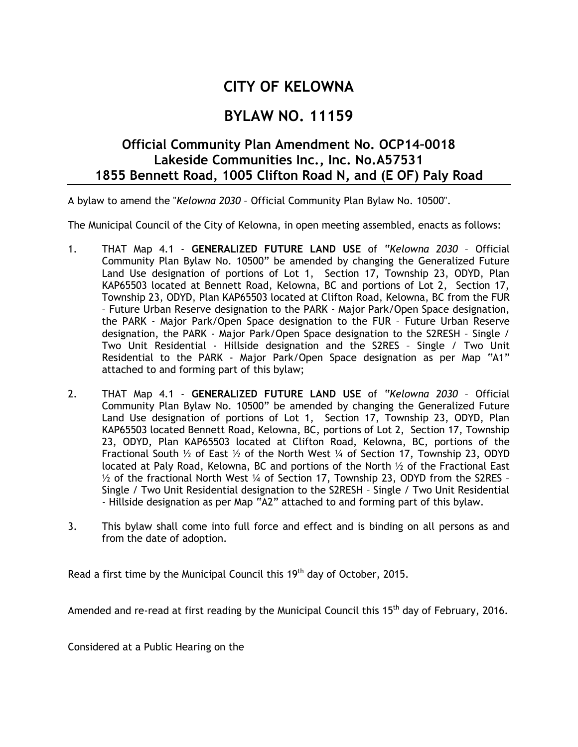## **CITY OF KELOWNA**

## **BYLAW NO. 11159**

## **Official Community Plan Amendment No. OCP14–0018 Lakeside Communities Inc., Inc. No.A57531 1855 Bennett Road, 1005 Clifton Road N, and (E OF) Paly Road**

A bylaw to amend the "*Kelowna 2030* – Official Community Plan Bylaw No. 10500".

The Municipal Council of the City of Kelowna, in open meeting assembled, enacts as follows:

- 1. THAT Map 4.1 **GENERALIZED FUTURE LAND USE** of "*Kelowna 2030* Official Community Plan Bylaw No. 10500" be amended by changing the Generalized Future Land Use designation of portions of Lot 1, Section 17, Township 23, ODYD, Plan KAP65503 located at Bennett Road, Kelowna, BC and portions of Lot 2, Section 17, Township 23, ODYD, Plan KAP65503 located at Clifton Road, Kelowna, BC from the FUR – Future Urban Reserve designation to the PARK - Major Park/Open Space designation, the PARK - Major Park/Open Space designation to the FUR – Future Urban Reserve designation, the PARK - Major Park/Open Space designation to the S2RESH – Single / Two Unit Residential - Hillside designation and the S2RES – Single / Two Unit Residential to the PARK - Major Park/Open Space designation as per Map "A1" attached to and forming part of this bylaw;
- 2. THAT Map 4.1 **GENERALIZED FUTURE LAND USE** of "*Kelowna 2030* Official Community Plan Bylaw No. 10500" be amended by changing the Generalized Future Land Use designation of portions of Lot 1, Section 17, Township 23, ODYD, Plan KAP65503 located Bennett Road, Kelowna, BC, portions of Lot 2, Section 17, Township 23, ODYD, Plan KAP65503 located at Clifton Road, Kelowna, BC, portions of the Fractional South  $\frac{1}{2}$  of East  $\frac{1}{2}$  of the North West  $\frac{1}{4}$  of Section 17, Township 23, ODYD located at Paly Road, Kelowna, BC and portions of the North ½ of the Fractional East ½ of the fractional North West ¼ of Section 17, Township 23, ODYD from the S2RES – Single / Two Unit Residential designation to the S2RESH – Single / Two Unit Residential - Hillside designation as per Map "A2" attached to and forming part of this bylaw.
- 3. This bylaw shall come into full force and effect and is binding on all persons as and from the date of adoption.

Read a first time by the Municipal Council this  $19<sup>th</sup>$  day of October, 2015.

Amended and re-read at first reading by the Municipal Council this 15<sup>th</sup> day of February, 2016.

Considered at a Public Hearing on the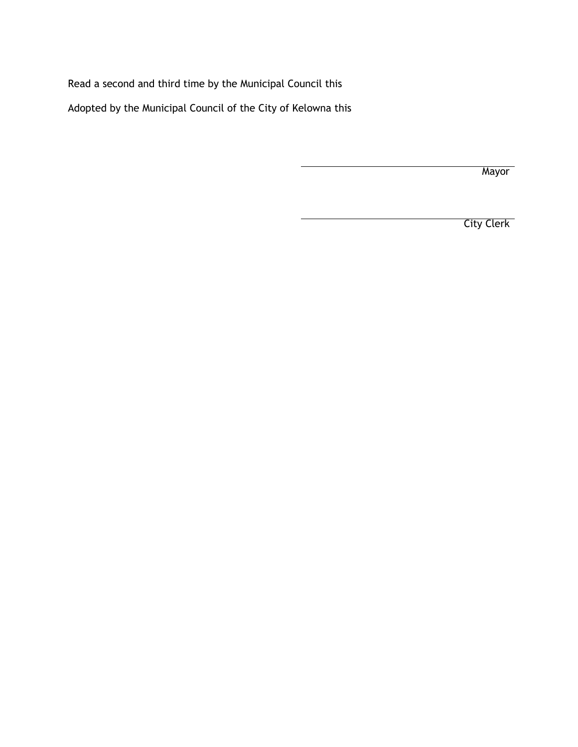Read a second and third time by the Municipal Council this

Adopted by the Municipal Council of the City of Kelowna this

**Mayor** 

City Clerk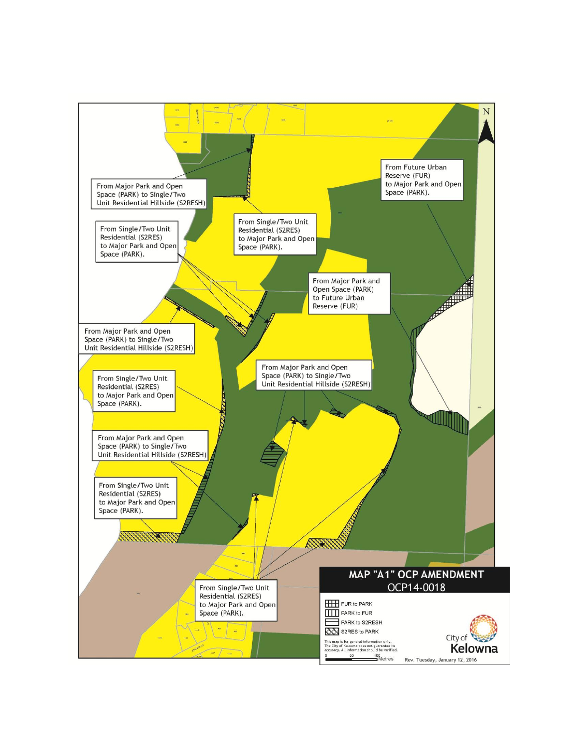